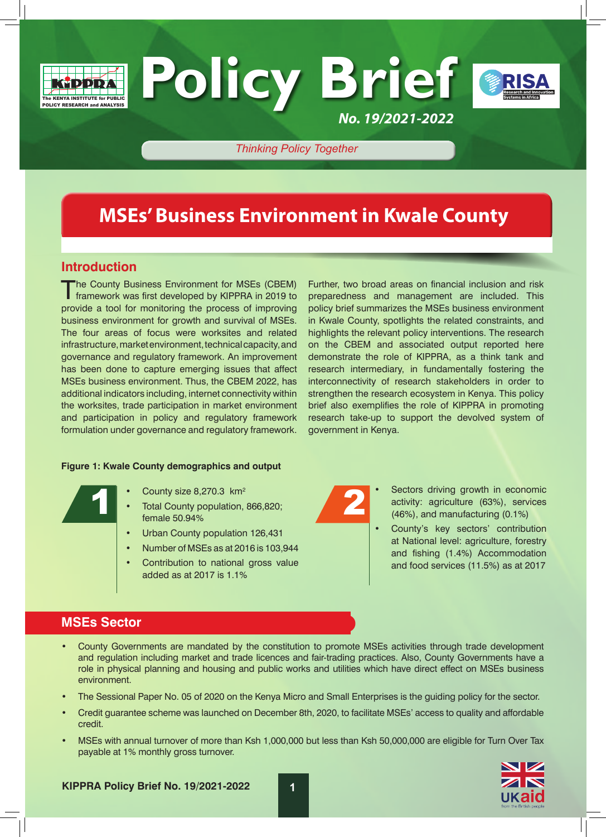

# *No. 19/2021-2022* **Policy Brief**



*Thinking Policy Together*

## **MSEs' Business Environment in Kwale County**

#### **Introduction**

The County Business Environment for MSEs (CBEM)<br>
framework was first developed by KIPPRA in 2019 to provide a tool for monitoring the process of improving business environment for growth and survival of MSEs. The four areas of focus were worksites and related infrastructure, market environment, technical capacity, and governance and regulatory framework. An improvement has been done to capture emerging issues that affect MSEs business environment. Thus, the CBEM 2022, has additional indicators including, internet connectivity within the worksites, trade participation in market environment and participation in policy and regulatory framework formulation under governance and regulatory framework.

#### **Figure 1: Kwale County demographics and output**

- County size 8,270.3 km2
- Total County population, 866,820; female 50.94% County size 8,270.3 km<sup>2</sup><br>
1 County population, 866,820;<br>
1 Emale 50.94%
	- Urban County population 126,431
	- Number of MSEs as at 2016 is 103,944
	- Contribution to national gross value added as at 2017 is 1.1%

Further, two broad areas on financial inclusion and risk preparedness and management are included. This policy brief summarizes the MSEs business environment in Kwale County, spotlights the related constraints, and highlights the relevant policy interventions. The research on the CBEM and associated output reported here demonstrate the role of KIPPRA, as a think tank and research intermediary, in fundamentally fostering the interconnectivity of research stakeholders in order to strengthen the research ecosystem in Kenya. This policy brief also exemplifies the role of KIPPRA in promoting research take-up to support the devolved system of government in Kenya.

- Sectors driving growth in economic activity: agriculture (63%), services (46%), and manufacturing (0.1%)
- County's key sectors' contribution at National level: agriculture, forestry and fishing (1.4%) Accommodation and food services (11.5%) as at 2017

### **MSEs Sector**

- County Governments are mandated by the constitution to promote MSEs activities through trade development and regulation including market and trade licences and fair-trading practices. Also, County Governments have a role in physical planning and housing and public works and utilities which have direct effect on MSEs business environment.
- The Sessional Paper No. 05 of 2020 on the Kenya Micro and Small Enterprises is the guiding policy for the sector.
- Credit guarantee scheme was launched on December 8th, 2020, to facilitate MSEs' access to quality and affordable credit.
- MSEs with annual turnover of more than Ksh 1,000,000 but less than Ksh 50,000,000 are eligible for Turn Over Tax payable at 1% monthly gross turnover.

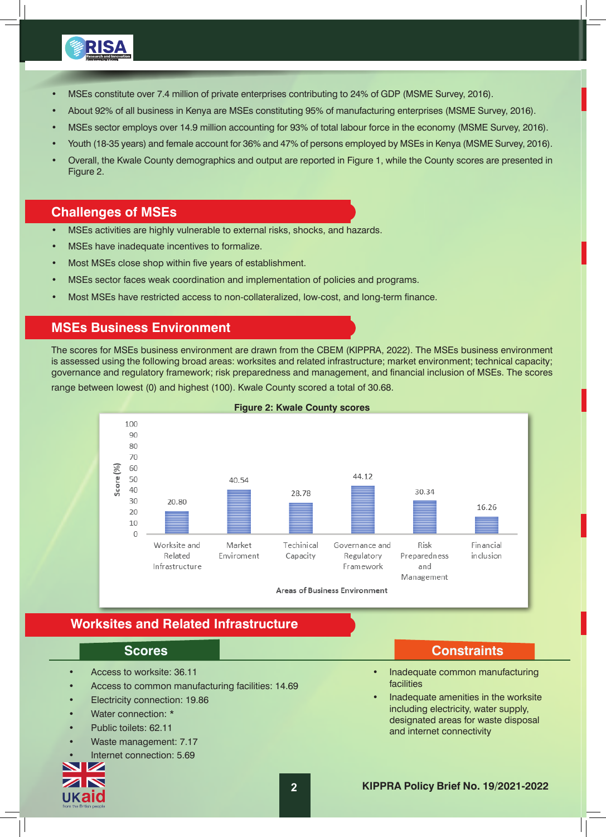

- MSEs constitute over 7.4 million of private enterprises contributing to 24% of GDP (MSME Survey, 2016).
- About 92% of all business in Kenya are MSEs constituting 95% of manufacturing enterprises (MSME Survey, 2016).
- MSEs sector employs over 14.9 million accounting for 93% of total labour force in the economy (MSME Survey, 2016).
- Youth (18-35 years) and female account for 36% and 47% of persons employed by MSEs in Kenya (MSME Survey, 2016).
- Overall, the Kwale County demographics and output are reported in Figure 1, while the County scores are presented in Figure 2.

#### **Challenges of MSEs**

- MSEs activities are highly vulnerable to external risks, shocks, and hazards.
- MSEs have inadequate incentives to formalize.
- Most MSEs close shop within five years of establishment.
- MSEs sector faces weak coordination and implementation of policies and programs.
- Most MSEs have restricted access to non-collateralized, low-cost, and long-term finance.

### **MSEs Business Environment**

The scores for MSEs business environment are drawn from the CBEM (KIPPRA, 2022). The MSEs business environment is assessed using the following broad areas: worksites and related infrastructure; market environment; technical capacity; governance and regulatory framework; risk preparedness and management, and financial inclusion of MSEs. The scores

range between lowest (0) and highest (100). Kwale County scored a total of 30.68.



#### **Figure 2: Kwale County scores**

Areas of Business Environment

### **Worksites and Related Infrastructure**

- Access to worksite: 36.11
- Access to common manufacturing facilities: 14.69
- Electricity connection: 19.86
- Water connection: \*
- Public toilets: 62.11
- Waste management: 7.17
- Internet connection: 5.69



#### **Scores Constraints**

- Inadequate common manufacturing facilities
- Inadequate amenities in the worksite including electricity, water supply, designated areas for waste disposal and internet connectivity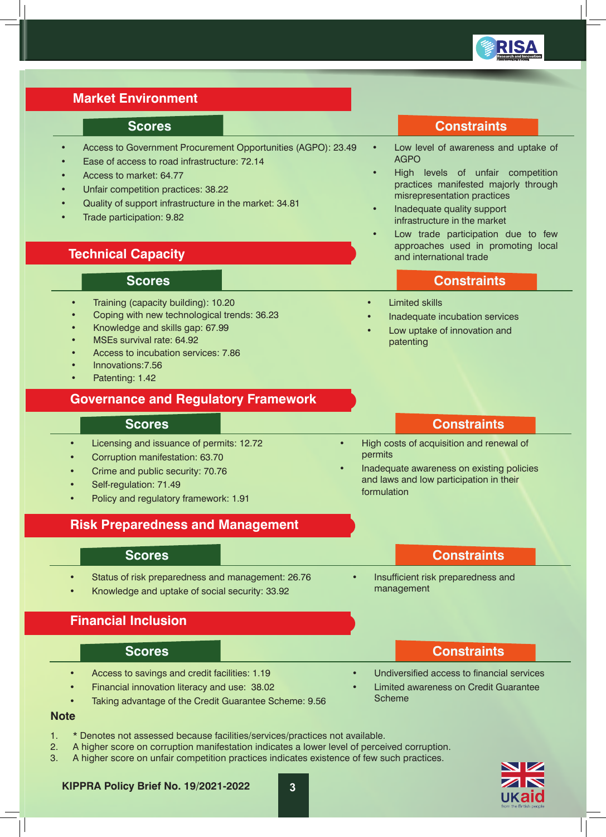

### **Market Environment**

- Access to Government Procurement Opportunities (AGPO): 23.49
- Ease of access to road infrastructure: 72.14
- Access to market: 64.77
- Unfair competition practices: 38.22
- Quality of support infrastructure in the market: 34.81
- Trade participation: 9.82

#### **Technical Capacity**

- Training (capacity building): 10.20
- Coping with new technological trends: 36.23
- Knowledge and skills gap: 67.99
- MSEs survival rate: 64.92
- Access to incubation services: 7.86
- Innovations:7.56
- Patenting: 1.42

### **Governance and Regulatory Framework**

#### **Scores Constraints**

- Licensing and issuance of permits: 12.72
- Corruption manifestation: 63.70
- Crime and public security: 70.76
- Self-regulation: 71.49
- Policy and regulatory framework: 1.91

#### **Risk Preparedness and Management**

- Status of risk preparedness and management: 26.76
- Knowledge and uptake of social security: 33.92

### **Financial Inclusion**

- Access to savings and credit facilities: 1.19
	- Financial innovation literacy and use: 38.02
- Taking advantage of the Credit Guarantee Scheme: 9.56

# **Scores Constraints**

- Low level of awareness and uptake of AGPO
- High levels of unfair competition practices manifested majorly through misrepresentation practices
- Inadequate quality support infrastructure in the market
- Low trade participation due to few approaches used in promoting local and international trade

#### **Scores Constraints**

**Limited skills** 

permits

formulation

• Inadequate incubation services

• High costs of acquisition and renewal of

• Inadequate awareness on existing policies and laws and low participation in their

Low uptake of innovation and patenting

#### **Scores Constraints**

• Insufficient risk preparedness and management

#### **Scores Constraints**

- Undiversified access to financial services
- Limited awareness on Credit Guarantee Scheme

- **Note**
- 1. \* Denotes not assessed because facilities/services/practices not available.
- 2. A higher score on corruption manifestation indicates a lower level of perceived corruption.
- 3. A higher score on unfair competition practices indicates existence of few such practices.